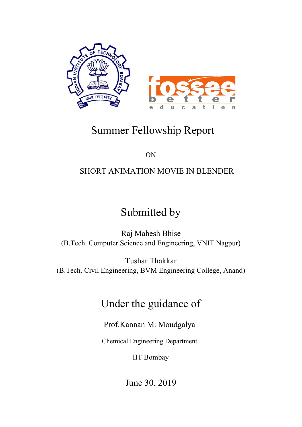

## Summer Fellowship Report

#### ON

### SHORT ANIMATION MOVIE IN BLENDER

## Submitted by

Raj Mahesh Bhise (B.Tech. Computer Science and Engineering, VNIT Nagpur)

Tushar Thakkar (B.Tech. Civil Engineering, BVM Engineering College, Anand)

### Under the guidance of

Prof.Kannan M. Moudgalya

Chemical Engineering Department

IIT Bombay

June 30, 2019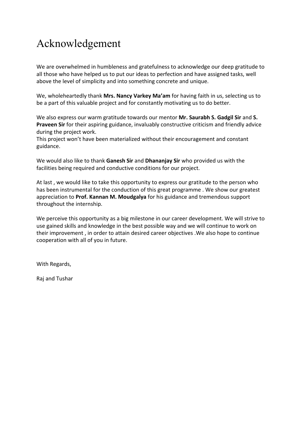## Acknowledgement

We are overwhelmed in humbleness and gratefulness to acknowledge our deep gratitude to all those who have helped us to put our ideas to perfection and have assigned tasks, well above the level of simplicity and into something concrete and unique.

We, wholeheartedly thank **Mrs. Nancy Varkey Ma'am** for having faith in us, selecting us to be a part of this valuable project and for constantly motivating us to do better.

We also express our warm gratitude towards our mentor **Mr. Saurabh S. Gadgil Sir** and **S. Praveen Sir** for their aspiring guidance, invaluably constructive criticism and friendly advice during the project work.

This project won't have been materialized without their encouragement and constant guidance.

We would also like to thank **Ganesh Sir** and **Dhananjay Sir** who provided us with the facilities being required and conductive conditions for our project.

At last , we would like to take this opportunity to express our gratitude to the person who has been instrumental for the conduction of this great programme . We show our greatest appreciation to **Prof. Kannan M. Moudgalya** for his guidance and tremendous support throughout the internship.

We perceive this opportunity as a big milestone in our career development. We will strive to use gained skills and knowledge in the best possible way and we will continue to work on their improvement , in order to attain desired career objectives .We also hope to continue cooperation with all of you in future.

With Regards,

Raj and Tushar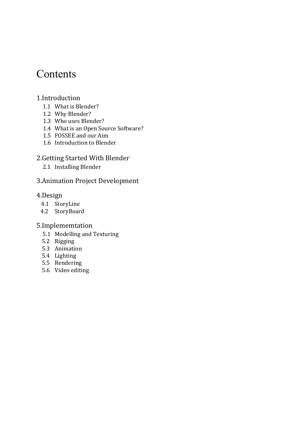## **Contents**

#### 1.Introduction

- 1.1 What is Blender?
- 1.2 Why Blender?
- 1.3 Who uses Blender?
- 1.4 What is an Open Source Software?
- 1.5 FOSSEE and our Aim
- 1.6 Introduction to Blender

#### 2.Getting Started With Blender

2.1 Installing Blender

#### 3.Animation Project Development

#### 4.Design

- 4.1 StoryLine
- 4.2 StoryBoard

#### 5.Implememtation

- 5.1 Modelling and Texturing
- 5.2 Rigging
- 5.3 Animation
- 5.4 Lighting
- 5.5 Rendering
- 5.6 Video editing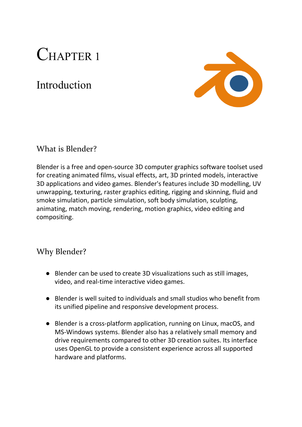## Introduction



#### What is Blender?

Blender is a free and open-source 3D computer graphics software toolset used for creating animated films, visual effects, art, 3D printed models, interactive 3D applications and video games. Blender's features include 3D modelling, UV unwrapping, texturing, raster graphics editing, rigging and skinning, fluid and smoke simulation, particle simulation, soft body simulation, sculpting, animating, match moving, rendering, motion graphics, video editing and compositing.

### Why Blender?

- Blender can be used to create 3D visualizations such as still images, video, and real-time interactive video games.
- Blender is well suited to individuals and small studios who benefit from its unified pipeline and responsive development process.
- Blender is a cross-platform application, running on Linux, macOS, and MS-Windows systems. Blender also has a relatively small memory and drive requirements compared to other 3D creation suites. Its interface uses OpenGL to provide a consistent experience across all supported hardware and platforms.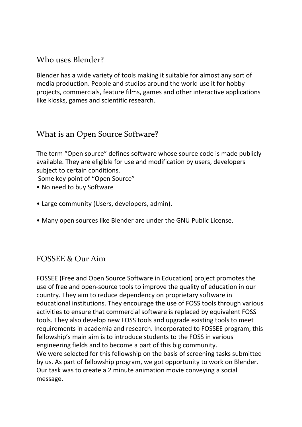#### Who uses Blender?

Blender has a wide variety of tools making it suitable for almost any sort of media production. People and studios around the world use it for hobby projects, commercials, feature films, games and other interactive applications like kiosks, games and scientific research.

#### What is an Open Source Software?

The term "Open source" defines software whose source code is made publicly available. They are eligible for use and modification by users, developers subject to certain conditions.

Some key point of "Open Source"

- No need to buy Software
- Large community (Users, developers, admin).
- Many open sources like Blender are under the GNU Public License.

#### FOSSEE & Our Aim

FOSSEE (Free and Open Source Software in Education) project promotes the use of free and open-source tools to improve the quality of education in our country. They aim to reduce dependency on proprietary software in educational institutions. They encourage the use of FOSS tools through various activities to ensure that commercial software is replaced by equivalent FOSS tools. They also develop new FOSS tools and upgrade existing tools to meet requirements in academia and research. Incorporated to FOSSEE program, this fellowship's main aim is to introduce students to the FOSS in various engineering fields and to become a part of this big community. We were selected for this fellowship on the basis of screening tasks submitted by us. As part of fellowship program, we got opportunity to work on Blender. Our task was to create a 2 minute animation movie conveying a social message.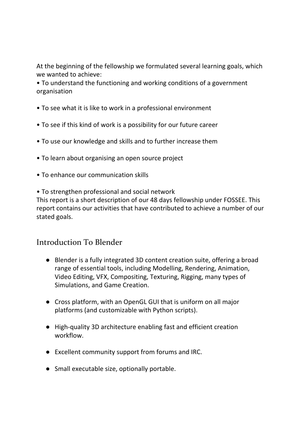At the beginning of the fellowship we formulated several learning goals, which we wanted to achieve:

• To understand the functioning and working conditions of a government organisation

- To see what it is like to work in a professional environment
- To see if this kind of work is a possibility for our future career
- To use our knowledge and skills and to further increase them
- To learn about organising an open source project
- To enhance our communication skills
- To strengthen professional and social network

This report is a short description of our 48 days fellowship under FOSSEE. This report contains our activities that have contributed to achieve a number of our stated goals.

#### Introduction To Blender

- Blender is a fully integrated 3D content creation suite, offering a broad range of essential tools, including Modelling, Rendering, Animation, Video Editing, VFX, Compositing, Texturing, Rigging, many types of Simulations, and Game Creation.
- Cross platform, with an OpenGL GUI that is uniform on all major platforms (and customizable with Python scripts).
- High-quality 3D architecture enabling fast and efficient creation workflow.
- Excellent community support from forums and IRC.
- Small executable size, optionally portable.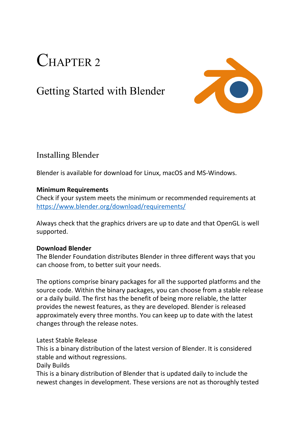## Getting Started with Blender



#### Installing Blender

Blender is available for download for Linux, macOS and MS-Windows.

#### **Minimum Requirements**

Check if your system meets the minimum or recommended requirements at <https://www.blender.org/download/requirements/>

Always check that the graphics drivers are up to date and that OpenGL is well supported.

#### **Download Blender**

The Blender Foundation distributes Blender in three different ways that you can choose from, to better suit your needs.

The options comprise binary packages for all the supported platforms and the source code. Within the binary packages, you can choose from a stable release or a daily build. The first has the benefit of being more reliable, the latter provides the newest features, as they are developed. Blender is released approximately every three months. You can keep up to date with the latest changes through the release notes.

#### Latest Stable Release

This is a binary distribution of the latest version of Blender. It is considered stable and without regressions.

Daily Builds

This is a binary distribution of Blender that is updated daily to include the newest changes in development. These versions are not as thoroughly tested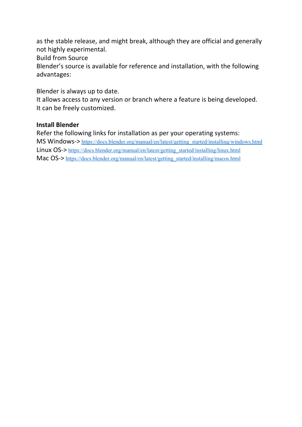as the stable release, and might break, although they are official and generally not highly experimental.

Build from Source

Blender's source is available for reference and installation, with the following advantages:

Blender is always up to date.

It allows access to any version or branch where a feature is being developed. It can be freely customized.

#### **Install Blender**

Refer the following links for installation as per your operating systems: MS Windows-> [https://docs.blender.org/manual/en/latest/getting\\_started/installing/windows.html](https://docs.blender.org/manual/en/latest/getting_started/installing/windows.html) Linux OS-> [https://docs.blender.org/manual/en/latest/getting\\_started/installing/linux.html](https://docs.blender.org/manual/en/latest/getting_started/installing/linux.html) Mac OS-> [https://docs.blender.org/manual/en/latest/getting\\_started/installing/macos.html](https://docs.blender.org/manual/en/latest/getting_started/installing/macos.html)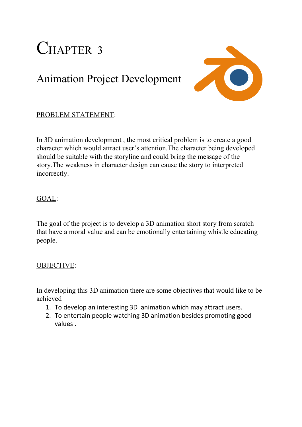## Animation Project Development



#### PROBLEM STATEMENT:

In 3D animation development , the most critical problem is to create a good character which would attract user's attention.The character being developed should be suitable with the storyline and could bring the message of the story.The weakness in character design can cause the story to interpreted incorrectly.

#### GOAL:

The goal of the project is to develop a 3D animation short story from scratch that have a moral value and can be emotionally entertaining whistle educating people.

#### OBJECTIVE:

In developing this 3D animation there are some objectives that would like to be achieved

- 1. To develop an interesting 3D animation which may attract users.
- 2. To entertain people watching 3D animation besides promoting good values .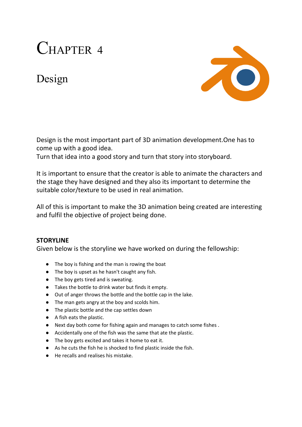## Design



Design is the most important part of 3D animation development.One has to come up with a good idea.

Turn that idea into a good story and turn that story into storyboard.

It is important to ensure that the creator is able to animate the characters and the stage they have designed and they also its important to determine the suitable color/texture to be used in real animation.

All of this is important to make the 3D animation being created are interesting and fulfil the objective of project being done.

#### **STORYLINE**

Given below is the storyline we have worked on during the fellowship:

- The boy is fishing and the man is rowing the boat
- The boy is upset as he hasn't caught any fish.
- The boy gets tired and is sweating.
- Takes the bottle to drink water but finds it empty.
- Out of anger throws the bottle and the bottle cap in the lake.
- The man gets angry at the boy and scolds him.
- The plastic bottle and the cap settles down
- A fish eats the plastic.
- Next day both come for fishing again and manages to catch some fishes .
- Accidentally one of the fish was the same that ate the plastic.
- The boy gets excited and takes it home to eat it.
- As he cuts the fish he is shocked to find plastic inside the fish.
- He recalls and realises his mistake.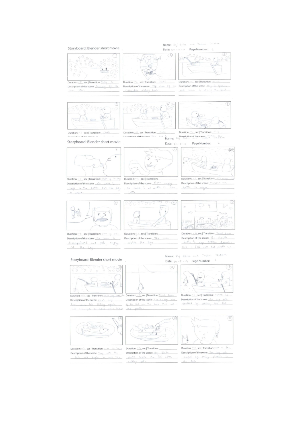



Description of the scene: No wake the left in the bottle for the boy to drive



Description of the scene: *fine* <u>angly</u><br>h the os there is no watch Lottle



Description of the scene: Thirdand Mus in arges.  $b^{a \# b}$ 



Duration: <u>#5</u> sec | Transition: Class Ing Innoval Description of the scene: The mon in discopoints and gets engry the boy. at

#### Storyboard: Blender short movie



Duration:  $\sim$  9 sec | Transition:  $\text{Area}$ Description of the scene: Next day Pishing again nagely to ratch some fisher



 $\text{Duration:} \; \underrightarrow{\scriptstyle \infty} \; \mathbf{3} \quad \text{sec} \; | \; \text{Transition:} \; \underbrace{\text{LsNet}} \quad \text{for} \; \; \text{Laplace}$ Description of the scene: They cosk Me fish and begin to eat it.



Duration:  $\frac{1}{2}$  sec | Transition: Description of the scene: The **Vindian** scolds the loy.

Duration: 43 sec | Transition: Thurch disease

 $f:$ 

the plastic

within  $_{\odot}$   $_{\odot}$ 

 $Q$  the

Description of the scene: Accidently and

 $\circ \circ \varphi$  $\overline{A}$ 

Duration: 24 sec | Transition:

Description of the scene: Bay find

phostic shirle the fil after

Inne that all



Duration: 2010 sec | Transition: Transition Description of the scene: The plast 3 cap settles down  $b$ ottle a fish cats that playtic cap And

Name: Raj Bhise and Tushers  $Tho.kKah$ Date:  $94 - 5 - 19$  Page Number: 3

 $\omega$ 



Description of the scene: The excited by catching the



 $M$ 

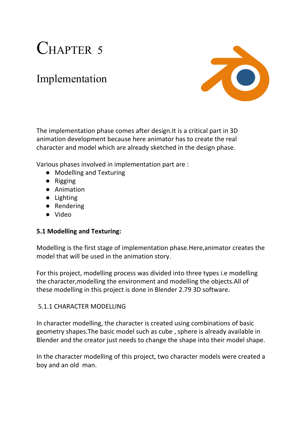### Implementation



The implementation phase comes after design.It is a critical part in 3D animation development because here animator has to create the real character and model which are already sketched in the design phase.

Various phases involved in implementation part are :

- Modelling and Texturing
- Rigging
- Animation
- Lighting
- Rendering
- Video

#### **5.1 Modelling and Texturing:**

Modelling is the first stage of implementation phase.Here,animator creates the model that will be used in the animation story.

For this project, modelling process was divided into three types i.e modelling the character,modelling the environment and modelling the objects.All of these modelling in this project is done in Blender 2.79 3D software.

#### 5.1.1 CHARACTER MODELLING

In character modelling, the character is created using combinations of basic geometry shapes.The basic model such as cube , sphere is already available in Blender and the creator just needs to change the shape into their model shape.

In the character modelling of this project, two character models were created a boy and an old man.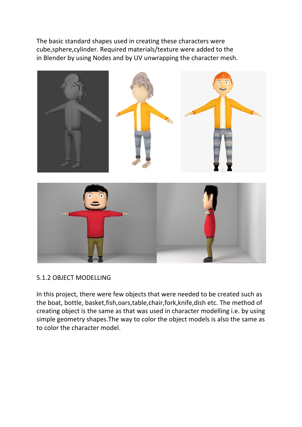The basic standard shapes used in creating these characters were cube,sphere,cylinder. Required materials/texture were added to the in Blender by using Nodes and by UV unwrapping the character mesh.



#### 5.1.2 OBJECT MODELLING

In this project, there were few objects that were needed to be created such as the boat, bottle, basket,fish,oars,table,chair,fork,knife,dish etc. The method of creating object is the same as that was used in character modelling i.e. by using simple geometry shapes.The way to color the object models is also the same as to color the character model.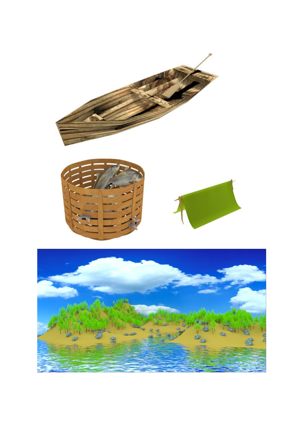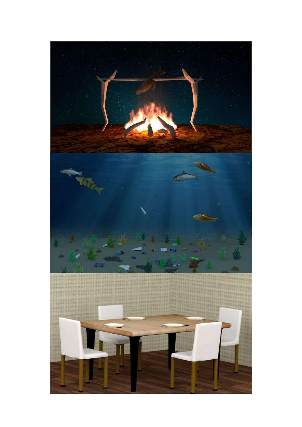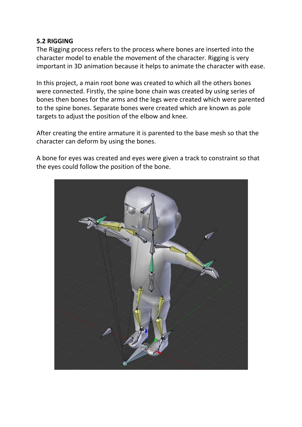#### **5.2 RIGGING**

The Rigging process refers to the process where bones are inserted into the character model to enable the movement of the character. Rigging is very important in 3D animation because it helps to animate the character with ease.

In this project, a main root bone was created to which all the others bones were connected. Firstly, the spine bone chain was created by using series of bones then bones for the arms and the legs were created which were parented to the spine bones. Separate bones were created which are known as pole targets to adjust the position of the elbow and knee.

After creating the entire armature it is parented to the base mesh so that the character can deform by using the bones.

A bone for eyes was created and eyes were given a track to constraint so that the eyes could follow the position of the bone.

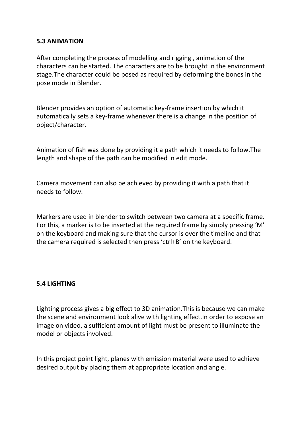#### **5.3 ANIMATION**

After completing the process of modelling and rigging , animation of the characters can be started. The characters are to be brought in the environment stage.The character could be posed as required by deforming the bones in the pose mode in Blender.

Blender provides an option of automatic key-frame insertion by which it automatically sets a key-frame whenever there is a change in the position of object/character.

Animation of fish was done by providing it a path which it needs to follow.The length and shape of the path can be modified in edit mode.

Camera movement can also be achieved by providing it with a path that it needs to follow.

Markers are used in blender to switch between two camera at a specific frame. For this, a marker is to be inserted at the required frame by simply pressing 'M' on the keyboard and making sure that the cursor is over the timeline and that the camera required is selected then press 'ctrl+B' on the keyboard.

#### **5.4 LIGHTING**

Lighting process gives a big effect to 3D animation.This is because we can make the scene and environment look alive with lighting effect.In order to expose an image on video, a sufficient amount of light must be present to illuminate the model or objects involved.

In this project point light, planes with emission material were used to achieve desired output by placing them at appropriate location and angle.